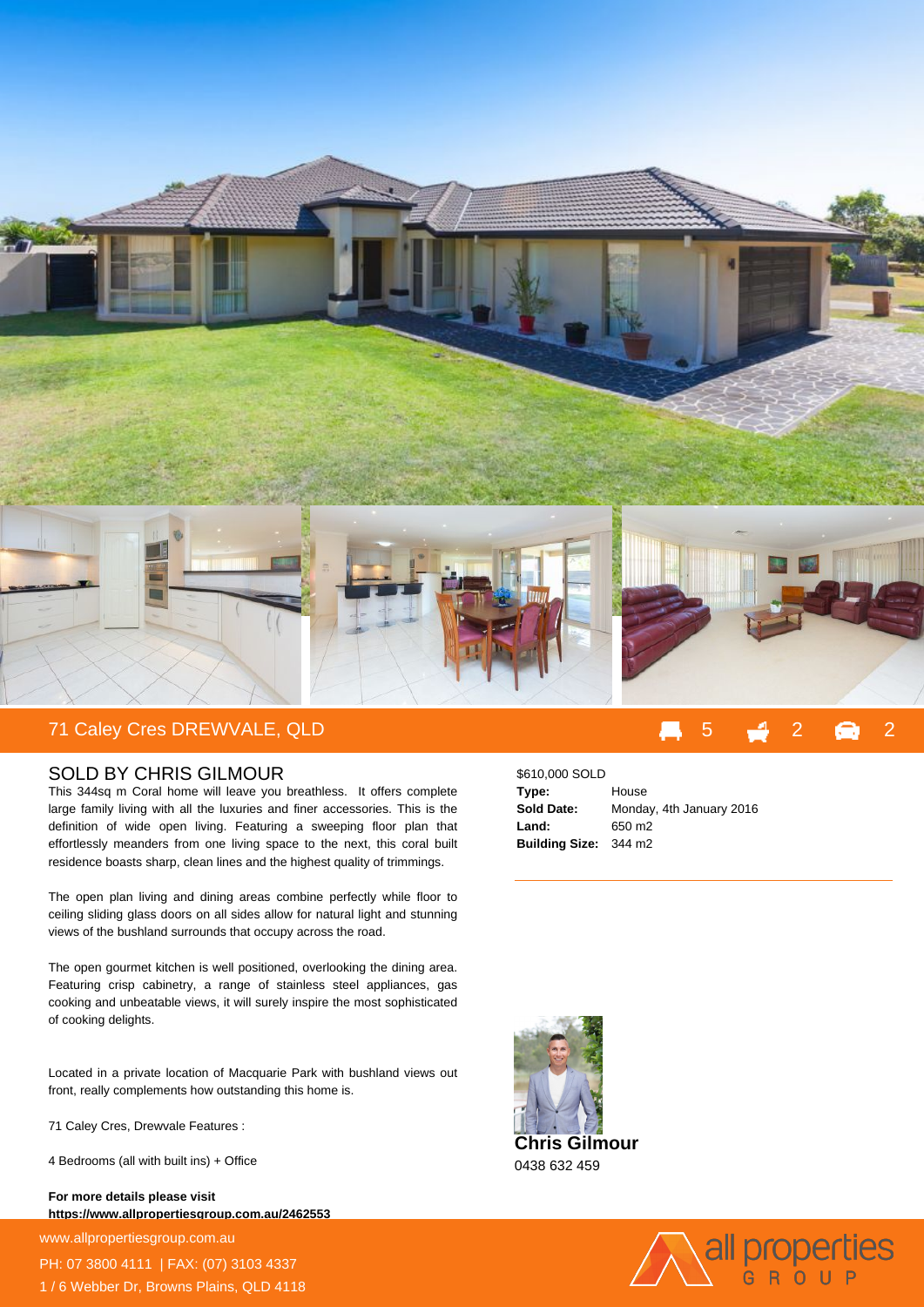

## SOLD BY CHRIS GILMOUR

This 344sq m Coral home will leave you breathless. It offers complete large family living with all the luxuries and finer accessories. This is the definition of wide open living. Featuring a sweeping floor plan that effortlessly meanders from one living space to the next, this coral built residence boasts sharp, clean lines and the highest quality of trimmings.

The open plan living and dining areas combine perfectly while floor to ceiling sliding glass doors on all sides allow for natural light and stunning views of the bushland surrounds that occupy across the road.

The open gourmet kitchen is well positioned, overlooking the dining area. Featuring crisp cabinetry, a range of stainless steel appliances, gas cooking and unbeatable views, it will surely inspire the most sophisticated of cooking delights.

Located in a private location of Macquarie Park with bushland views out front, really complements how outstanding this home is.

71 Caley Cres, Drewvale Features :

4 Bedrooms (all with built ins) + Office

**For more details please visit https://www.allpropertiesgroup.com.au/2462553**

www.allpropertiesgroup.com.au PH: 07 3800 4111 | FAX: (07) 3103 4337

1 / 6 Webber Dr, Browns Plains, QLD 4118

\$610,000 SOLD **Type:** House **Sold Date:** Monday, 4th January 2016 **Land:** 650 m2 **Building Size:** 344 m2



0438 632 459